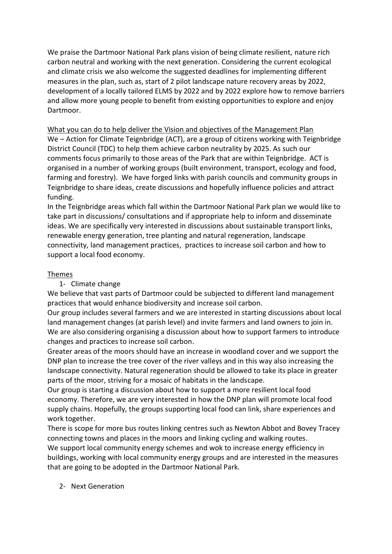We praise the Dartmoor National Park plans vision of being climate resilient, nature rich carbon neutral and working with the next generation. Considering the current ecological and climate crisis we also welcome the suggested deadlines for implementing different measures in the plan, such as, start of 2 pilot landscape nature recovery areas by 2022, development of a locally tailored ELMS by 2022 and by 2022 explore how to remove barriers and allow more young people to benefit from existing opportunities to explore and enjoy Dartmoor.

What you can do to help deliver the Vision and objectives of the Management Plan We – Action for Climate Teignbridge (ACT), are a group of citizens working with Teignbridge District Council (TDC) to help them achieve carbon neutrality by 2025. As such our comments focus primarily to those areas of the Park that are within Teignbridge. ACT is organised in a number of working groups (built environment, transport, ecology and food, farming and forestry). We have forged links with parish councils and community groups in Teignbridge to share ideas, create discussions and hopefully influence policies and attract funding.

In the Teignbridge areas which fall within the Dartmoor National Park plan we would like to take part in discussions/ consultations and if appropriate help to inform and disseminate ideas. We are specifically very interested in discussions about sustainable transport links, renewable energy generation, tree planting and natural regeneration, landscape connectivity, land management practices, practices to increase soil carbon and how to support a local food economy.

## Themes

1- Climate change

We believe that vast parts of Dartmoor could be subjected to different land management practices that would enhance biodiversity and increase soil carbon.

Our group includes several farmers and we are interested in starting discussions about local land management changes (at parish level) and invite farmers and land owners to join in. We are also considering organising a discussion about how to support farmers to introduce changes and practices to increase soil carbon.

Greater areas of the moors should have an increase in woodland cover and we support the DNP plan to increase the tree cover of the river valleys and in this way also increasing the landscape connectivity. Natural regeneration should be allowed to take its place in greater parts of the moor, striving for a mosaic of habitats in the landscape.

Our group is starting a discussion about how to support a more resilient local food economy. Therefore, we are very interested in how the DNP plan will promote local food supply chains. Hopefully, the groups supporting local food can link, share experiences and work together.

There is scope for more bus routes linking centres such as Newton Abbot and Bovey Tracey connecting towns and places in the moors and linking cycling and walking routes. We support local community energy schemes and wok to increase energy efficiency in buildings, working with local community energy groups and are interested in the measures that are going to be adopted in the Dartmoor National Park.

2- Next Generation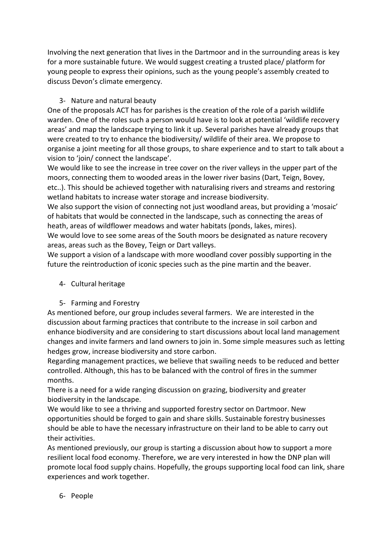Involving the next generation that lives in the Dartmoor and in the surrounding areas is key for a more sustainable future. We would suggest creating a trusted place/ platform for young people to express their opinions, such as the young people's assembly created to discuss Devon's climate emergency.

# 3- Nature and natural beauty

One of the proposals ACT has for parishes is the creation of the role of a parish wildlife warden. One of the roles such a person would have is to look at potential 'wildlife recovery areas' and map the landscape trying to link it up. Several parishes have already groups that were created to try to enhance the biodiversity/ wildlife of their area. We propose to organise a joint meeting for all those groups, to share experience and to start to talk about a vision to 'join/ connect the landscape'.

We would like to see the increase in tree cover on the river valleys in the upper part of the moors, connecting them to wooded areas in the lower river basins (Dart, Teign, Bovey, etc..). This should be achieved together with naturalising rivers and streams and restoring wetland habitats to increase water storage and increase biodiversity.

We also support the vision of connecting not just woodland areas, but providing a 'mosaic' of habitats that would be connected in the landscape, such as connecting the areas of heath, areas of wildflower meadows and water habitats (ponds, lakes, mires).

We would love to see some areas of the South moors be designated as nature recovery areas, areas such as the Bovey, Teign or Dart valleys.

We support a vision of a landscape with more woodland cover possibly supporting in the future the reintroduction of iconic species such as the pine martin and the beaver.

# 4- Cultural heritage

# 5- Farming and Forestry

As mentioned before, our group includes several farmers. We are interested in the discussion about farming practices that contribute to the increase in soil carbon and enhance biodiversity and are considering to start discussions about local land management changes and invite farmers and land owners to join in. Some simple measures such as letting hedges grow, increase biodiversity and store carbon.

Regarding management practices, we believe that swailing needs to be reduced and better controlled. Although, this has to be balanced with the control of fires in the summer months.

There is a need for a wide ranging discussion on grazing, biodiversity and greater biodiversity in the landscape.

We would like to see a thriving and supported forestry sector on Dartmoor. New opportunities should be forged to gain and share skills. Sustainable forestry businesses should be able to have the necessary infrastructure on their land to be able to carry out their activities.

As mentioned previously, our group is starting a discussion about how to support a more resilient local food economy. Therefore, we are very interested in how the DNP plan will promote local food supply chains. Hopefully, the groups supporting local food can link, share experiences and work together.

## 6- People